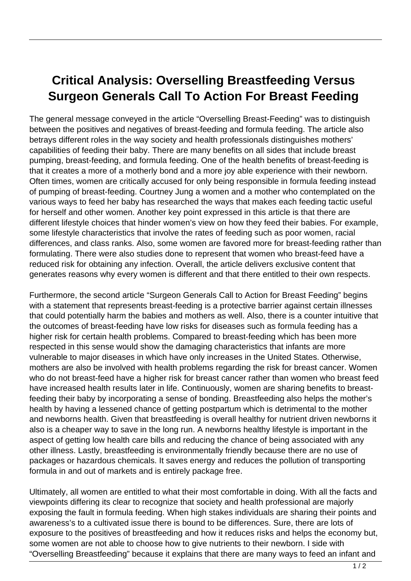## **Critical Analysis: Overselling Breastfeeding Versus Surgeon Generals Call To Action For Breast Feeding**

The general message conveyed in the article "Overselling Breast-Feeding" was to distinguish between the positives and negatives of breast-feeding and formula feeding. The article also betrays different roles in the way society and health professionals distinguishes mothers' capabilities of feeding their baby. There are many benefits on all sides that include breast pumping, breast-feeding, and formula feeding. One of the health benefits of breast-feeding is that it creates a more of a motherly bond and a more joy able experience with their newborn. Often times, women are critically accused for only being responsible in formula feeding instead of pumping of breast-feeding. Courtney Jung a women and a mother who contemplated on the various ways to feed her baby has researched the ways that makes each feeding tactic useful for herself and other women. Another key point expressed in this article is that there are different lifestyle choices that hinder women's view on how they feed their babies. For example, some lifestyle characteristics that involve the rates of feeding such as poor women, racial differences, and class ranks. Also, some women are favored more for breast-feeding rather than formulating. There were also studies done to represent that women who breast-feed have a reduced risk for obtaining any infection. Overall, the article delivers exclusive content that generates reasons why every women is different and that there entitled to their own respects.

Furthermore, the second article "Surgeon Generals Call to Action for Breast Feeding" begins with a statement that represents breast-feeding is a protective barrier against certain illnesses that could potentially harm the babies and mothers as well. Also, there is a counter intuitive that the outcomes of breast-feeding have low risks for diseases such as formula feeding has a higher risk for certain health problems. Compared to breast-feeding which has been more respected in this sense would show the damaging characteristics that infants are more vulnerable to major diseases in which have only increases in the United States. Otherwise, mothers are also be involved with health problems regarding the risk for breast cancer. Women who do not breast-feed have a higher risk for breast cancer rather than women who breast feed have increased health results later in life. Continuously, women are sharing benefits to breastfeeding their baby by incorporating a sense of bonding. Breastfeeding also helps the mother's health by having a lessened chance of getting postpartum which is detrimental to the mother and newborns health. Given that breastfeeding is overall healthy for nutrient driven newborns it also is a cheaper way to save in the long run. A newborns healthy lifestyle is important in the aspect of getting low health care bills and reducing the chance of being associated with any other illness. Lastly, breastfeeding is environmentally friendly because there are no use of packages or hazardous chemicals. It saves energy and reduces the pollution of transporting formula in and out of markets and is entirely package free.

Ultimately, all women are entitled to what their most comfortable in doing. With all the facts and viewpoints differing its clear to recognize that society and health professional are majorly exposing the fault in formula feeding. When high stakes individuals are sharing their points and awareness's to a cultivated issue there is bound to be differences. Sure, there are lots of exposure to the positives of breastfeeding and how it reduces risks and helps the economy but, some women are not able to choose how to give nutrients to their newborn. I side with "Overselling Breastfeeding" because it explains that there are many ways to feed an infant and